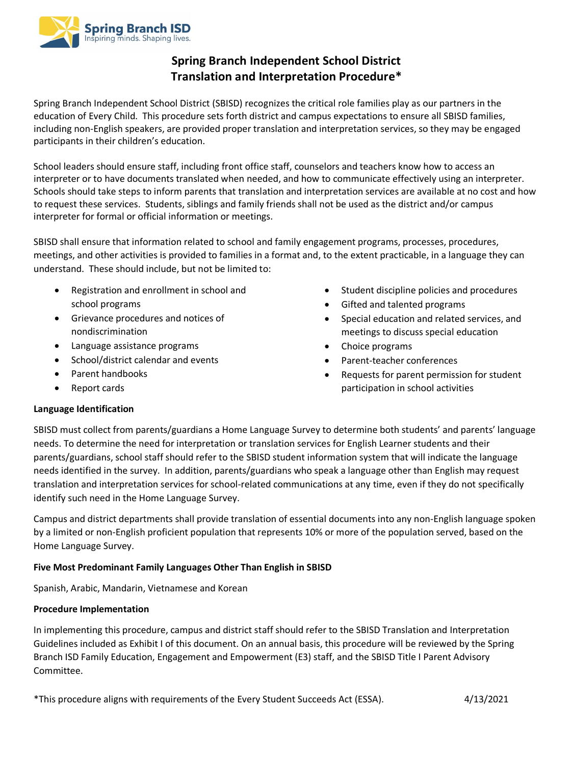

# **Spring Branch Independent School District Translation and Interpretation Procedure\***

Spring Branch Independent School District (SBISD) recognizes the critical role families play as our partners in the education of Every Child. This procedure sets forth district and campus expectations to ensure all SBISD families, including non-English speakers, are provided proper translation and interpretation services, so they may be engaged participants in their children's education.

School leaders should ensure staff, including front office staff, counselors and teachers know how to access an interpreter or to have documents translated when needed, and how to communicate effectively using an interpreter. Schools should take steps to inform parents that translation and interpretation services are available at no cost and how to request these services. Students, siblings and family friends shall not be used as the district and/or campus interpreter for formal or official information or meetings.

SBISD shall ensure that information related to school and family engagement programs, processes, procedures, meetings, and other activities is provided to families in a format and, to the extent practicable, in a language they can understand. These should include, but not be limited to:

- Registration and enrollment in school and school programs
- Grievance procedures and notices of nondiscrimination
- Language assistance programs
- School/district calendar and events
- Parent handbooks
- Report cards
- Student discipline policies and procedures
- Gifted and talented programs
- Special education and related services, and meetings to discuss special education
- Choice programs
- Parent-teacher conferences
- Requests for parent permission for student participation in school activities

# **Language Identification**

SBISD must collect from parents/guardians a Home Language Survey to determine both students' and parents' language needs. To determine the need for interpretation or translation services for English Learner students and their parents/guardians, school staff should refer to the SBISD student information system that will indicate the language needs identified in the survey. In addition, parents/guardians who speak a language other than English may request translation and interpretation services for school-related communications at any time, even if they do not specifically identify such need in the Home Language Survey.

Campus and district departments shall provide translation of essential documents into any non-English language spoken by a limited or non-English proficient population that represents 10% or more of the population served, based on the Home Language Survey.

# **Five Most Predominant Family Languages Other Than English in SBISD**

Spanish, Arabic, Mandarin, Vietnamese and Korean

## **Procedure Implementation**

In implementing this procedure, campus and district staff should refer to the SBISD Translation and Interpretation Guidelines included as Exhibit I of this document. On an annual basis, this procedure will be reviewed by the Spring Branch ISD Family Education, Engagement and Empowerment (E3) staff, and the SBISD Title I Parent Advisory Committee.

\*This procedure aligns with requirements of the Every Student Succeeds Act (ESSA). 4/13/2021